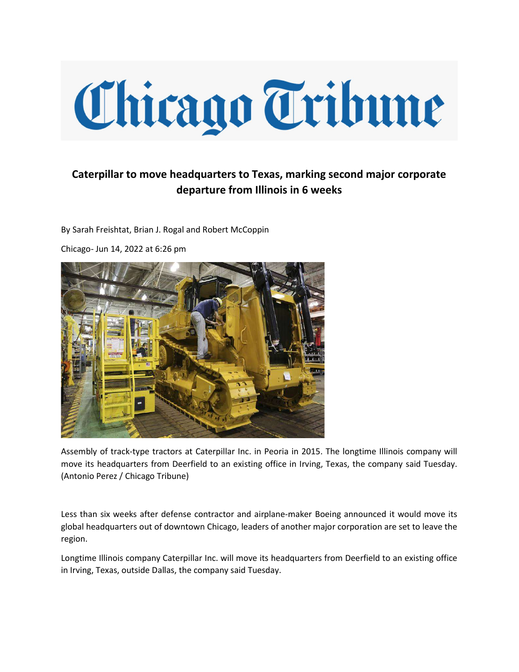## Chicago Tribune

## Caterpillar to move headquarters to Texas, marking second major corporate departure from Illinois in 6 weeks

By Sarah Freishtat, Brian J. Rogal and Robert McCoppin

Chicago- Jun 14, 2022 at 6:26 pm



Assembly of track-type tractors at Caterpillar Inc. in Peoria in 2015. The longtime Illinois company will move its headquarters from Deerfield to an existing office in Irving, Texas, the company said Tuesday. (Antonio Perez / Chicago Tribune)

Less than six weeks after defense contractor and airplane-maker Boeing announced it would move its global headquarters out of downtown Chicago, leaders of another major corporation are set to leave the region.

Longtime Illinois company Caterpillar Inc. will move its headquarters from Deerfield to an existing office in Irving, Texas, outside Dallas, the company said Tuesday.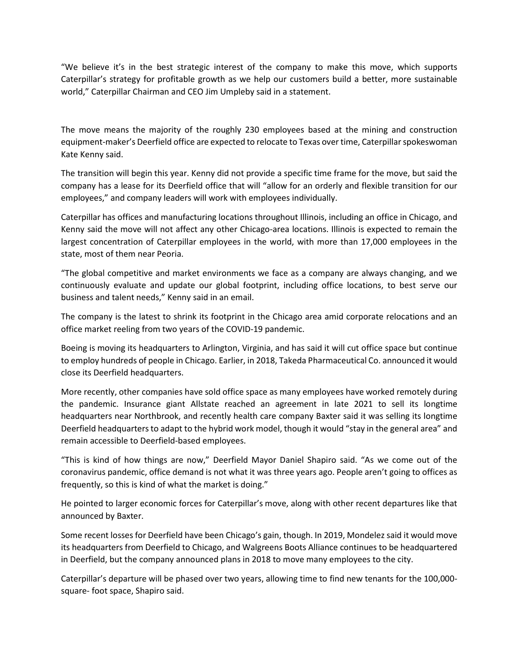"We believe it's in the best strategic interest of the company to make this move, which supports Caterpillar's strategy for profitable growth as we help our customers build a better, more sustainable world," Caterpillar Chairman and CEO Jim Umpleby said in a statement.

The move means the majority of the roughly 230 employees based at the mining and construction equipment-maker's Deerfield office are expected to relocate to Texas over time, Caterpillar spokeswoman Kate Kenny said.

The transition will begin this year. Kenny did not provide a specific time frame for the move, but said the company has a lease for its Deerfield office that will "allow for an orderly and flexible transition for our employees," and company leaders will work with employees individually.

Caterpillar has offices and manufacturing locations throughout Illinois, including an office in Chicago, and Kenny said the move will not affect any other Chicago-area locations. Illinois is expected to remain the largest concentration of Caterpillar employees in the world, with more than 17,000 employees in the state, most of them near Peoria.

"The global competitive and market environments we face as a company are always changing, and we continuously evaluate and update our global footprint, including office locations, to best serve our business and talent needs," Kenny said in an email.

The company is the latest to shrink its footprint in the Chicago area amid corporate relocations and an office market reeling from two years of the COVID-19 pandemic.

Boeing is moving its headquarters to Arlington, Virginia, and has said it will cut office space but continue to employ hundreds of people in Chicago. Earlier, in 2018, Takeda Pharmaceutical Co. announced it would close its Deerfield headquarters.

More recently, other companies have sold office space as many employees have worked remotely during the pandemic. Insurance giant Allstate reached an agreement in late 2021 to sell its longtime headquarters near Northbrook, and recently health care company Baxter said it was selling its longtime Deerfield headquarters to adapt to the hybrid work model, though it would "stay in the general area" and remain accessible to Deerfield-based employees.

"This is kind of how things are now," Deerfield Mayor Daniel Shapiro said. "As we come out of the coronavirus pandemic, office demand is not what it was three years ago. People aren't going to offices as frequently, so this is kind of what the market is doing."

He pointed to larger economic forces for Caterpillar's move, along with other recent departures like that announced by Baxter.

Some recent losses for Deerfield have been Chicago's gain, though. In 2019, Mondelez said it would move its headquarters from Deerfield to Chicago, and Walgreens Boots Alliance continues to be headquartered in Deerfield, but the company announced plans in 2018 to move many employees to the city.

Caterpillar's departure will be phased over two years, allowing time to find new tenants for the 100,000 square- foot space, Shapiro said.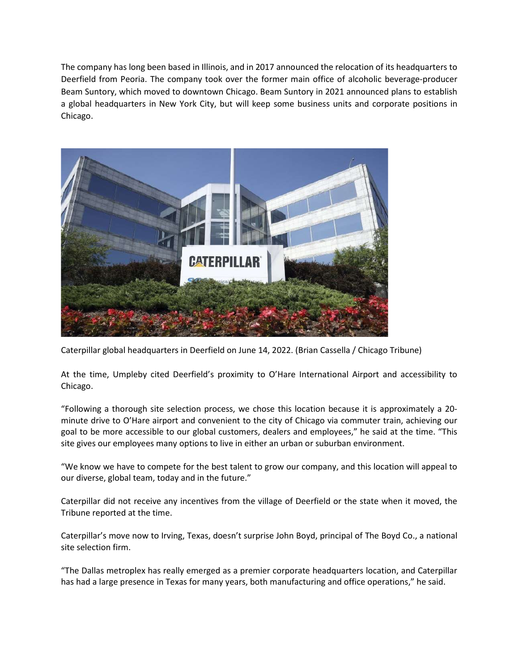The company has long been based in Illinois, and in 2017 announced the relocation of its headquarters to Deerfield from Peoria. The company took over the former main office of alcoholic beverage-producer Beam Suntory, which moved to downtown Chicago. Beam Suntory in 2021 announced plans to establish a global headquarters in New York City, but will keep some business units and corporate positions in Chicago.



Caterpillar global headquarters in Deerfield on June 14, 2022. (Brian Cassella / Chicago Tribune)

At the time, Umpleby cited Deerfield's proximity to O'Hare International Airport and accessibility to Chicago.

"Following a thorough site selection process, we chose this location because it is approximately a 20 minute drive to O'Hare airport and convenient to the city of Chicago via commuter train, achieving our goal to be more accessible to our global customers, dealers and employees," he said at the time. "This site gives our employees many options to live in either an urban or suburban environment.

"We know we have to compete for the best talent to grow our company, and this location will appeal to our diverse, global team, today and in the future."

Caterpillar did not receive any incentives from the village of Deerfield or the state when it moved, the Tribune reported at the time.

Caterpillar's move now to Irving, Texas, doesn't surprise John Boyd, principal of The Boyd Co., a national site selection firm.

"The Dallas metroplex has really emerged as a premier corporate headquarters location, and Caterpillar has had a large presence in Texas for many years, both manufacturing and office operations," he said.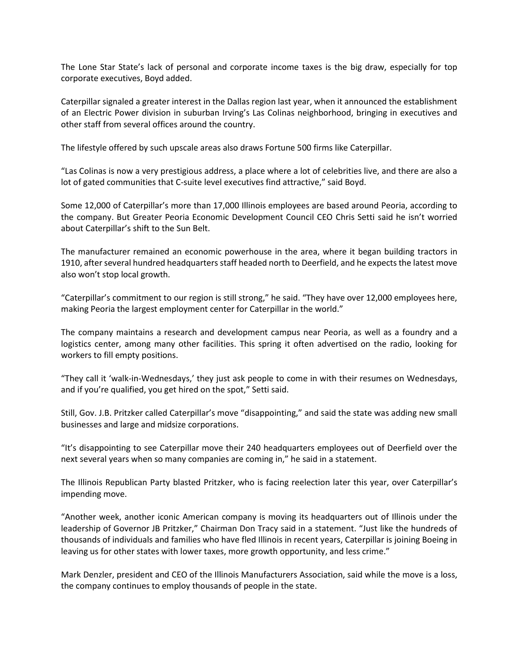The Lone Star State's lack of personal and corporate income taxes is the big draw, especially for top corporate executives, Boyd added.

Caterpillar signaled a greater interest in the Dallas region last year, when it announced the establishment of an Electric Power division in suburban Irving's Las Colinas neighborhood, bringing in executives and other staff from several offices around the country.

The lifestyle offered by such upscale areas also draws Fortune 500 firms like Caterpillar.

"Las Colinas is now a very prestigious address, a place where a lot of celebrities live, and there are also a lot of gated communities that C-suite level executives find attractive," said Boyd.

Some 12,000 of Caterpillar's more than 17,000 Illinois employees are based around Peoria, according to the company. But Greater Peoria Economic Development Council CEO Chris Setti said he isn't worried about Caterpillar's shift to the Sun Belt.

The manufacturer remained an economic powerhouse in the area, where it began building tractors in 1910, after several hundred headquarters staff headed north to Deerfield, and he expects the latest move also won't stop local growth.

"Caterpillar's commitment to our region is still strong," he said. "They have over 12,000 employees here, making Peoria the largest employment center for Caterpillar in the world."

The company maintains a research and development campus near Peoria, as well as a foundry and a logistics center, among many other facilities. This spring it often advertised on the radio, looking for workers to fill empty positions.

"They call it 'walk-in-Wednesdays,' they just ask people to come in with their resumes on Wednesdays, and if you're qualified, you get hired on the spot," Setti said.

Still, Gov. J.B. Pritzker called Caterpillar's move "disappointing," and said the state was adding new small businesses and large and midsize corporations.

"It's disappointing to see Caterpillar move their 240 headquarters employees out of Deerfield over the next several years when so many companies are coming in," he said in a statement.

The Illinois Republican Party blasted Pritzker, who is facing reelection later this year, over Caterpillar's impending move.

"Another week, another iconic American company is moving its headquarters out of Illinois under the leadership of Governor JB Pritzker," Chairman Don Tracy said in a statement. "Just like the hundreds of thousands of individuals and families who have fled Illinois in recent years, Caterpillar is joining Boeing in leaving us for other states with lower taxes, more growth opportunity, and less crime."

Mark Denzler, president and CEO of the Illinois Manufacturers Association, said while the move is a loss, the company continues to employ thousands of people in the state.